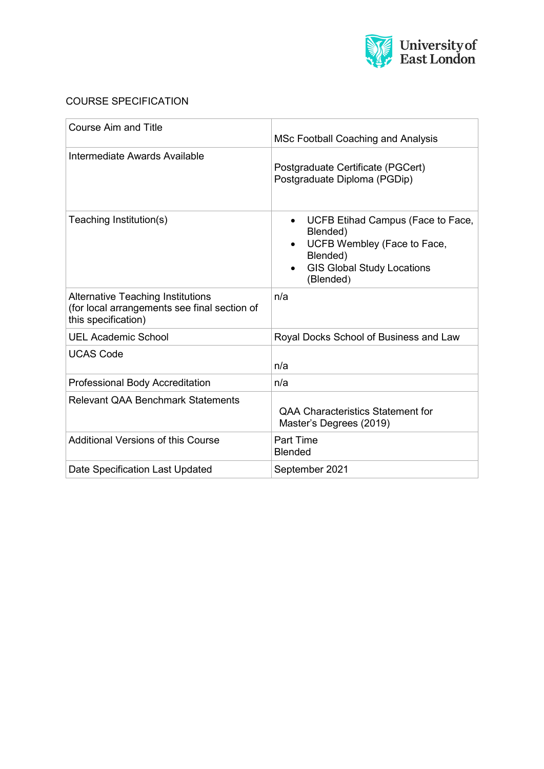

# COURSE SPECIFICATION

| <b>Course Aim and Title</b>                                                                                     | MSc Football Coaching and Analysis                                                                                                         |
|-----------------------------------------------------------------------------------------------------------------|--------------------------------------------------------------------------------------------------------------------------------------------|
| Intermediate Awards Available                                                                                   | Postgraduate Certificate (PGCert)<br>Postgraduate Diploma (PGDip)                                                                          |
| Teaching Institution(s)                                                                                         | UCFB Etihad Campus (Face to Face,<br>Blended)<br>UCFB Wembley (Face to Face,<br>Blended)<br><b>GIS Global Study Locations</b><br>(Blended) |
| <b>Alternative Teaching Institutions</b><br>(for local arrangements see final section of<br>this specification) | n/a                                                                                                                                        |
| <b>UEL Academic School</b>                                                                                      | Royal Docks School of Business and Law                                                                                                     |
| <b>UCAS Code</b>                                                                                                | n/a                                                                                                                                        |
| <b>Professional Body Accreditation</b>                                                                          | n/a                                                                                                                                        |
| <b>Relevant QAA Benchmark Statements</b>                                                                        | <b>QAA Characteristics Statement for</b><br>Master's Degrees (2019)                                                                        |
| Additional Versions of this Course                                                                              | <b>Part Time</b><br><b>Blended</b>                                                                                                         |
| Date Specification Last Updated                                                                                 | September 2021                                                                                                                             |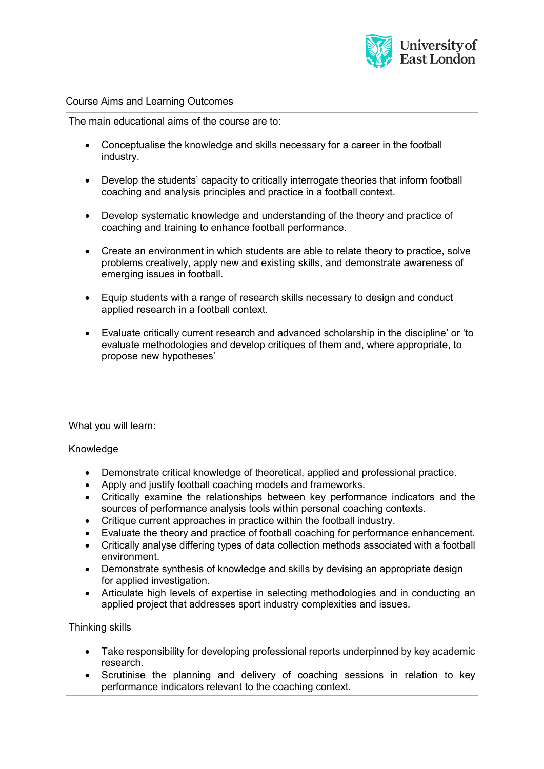

### Course Aims and Learning Outcomes

The main educational aims of the course are to:

- Conceptualise the knowledge and skills necessary for a career in the football industry.
- Develop the students' capacity to critically interrogate theories that inform football coaching and analysis principles and practice in a football context.
- Develop systematic knowledge and understanding of the theory and practice of coaching and training to enhance football performance.
- Create an environment in which students are able to relate theory to practice, solve problems creatively, apply new and existing skills, and demonstrate awareness of emerging issues in football.
- Equip students with a range of research skills necessary to design and conduct applied research in a football context.
- Evaluate critically current research and advanced scholarship in the discipline' or 'to evaluate methodologies and develop critiques of them and, where appropriate, to propose new hypotheses'

What you will learn:

# Knowledge

- Demonstrate critical knowledge of theoretical, applied and professional practice.
- Apply and justify football coaching models and frameworks.
- Critically examine the relationships between key performance indicators and the sources of performance analysis tools within personal coaching contexts.
- Critique current approaches in practice within the football industry.
- Evaluate the theory and practice of football coaching for performance enhancement.
- Critically analyse differing types of data collection methods associated with a football environment.
- Demonstrate synthesis of knowledge and skills by devising an appropriate design for applied investigation.
- Articulate high levels of expertise in selecting methodologies and in conducting an applied project that addresses sport industry complexities and issues.

# Thinking skills

- Take responsibility for developing professional reports underpinned by key academic research.
- Scrutinise the planning and delivery of coaching sessions in relation to key performance indicators relevant to the coaching context.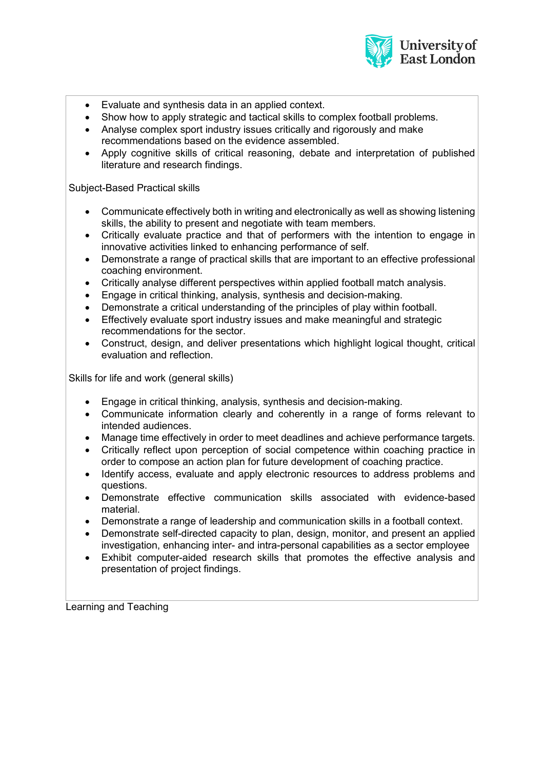

- Evaluate and synthesis data in an applied context.
- Show how to apply strategic and tactical skills to complex football problems.
- Analyse complex sport industry issues critically and rigorously and make recommendations based on the evidence assembled.
- Apply cognitive skills of critical reasoning, debate and interpretation of published literature and research findings.

### Subject-Based Practical skills

- Communicate effectively both in writing and electronically as well as showing listening skills, the ability to present and negotiate with team members.
- Critically evaluate practice and that of performers with the intention to engage in innovative activities linked to enhancing performance of self.
- Demonstrate a range of practical skills that are important to an effective professional coaching environment.
- Critically analyse different perspectives within applied football match analysis.
- Engage in critical thinking, analysis, synthesis and decision-making.
- Demonstrate a critical understanding of the principles of play within football.
- Effectively evaluate sport industry issues and make meaningful and strategic recommendations for the sector.
- Construct, design, and deliver presentations which highlight logical thought, critical evaluation and reflection.

Skills for life and work (general skills)

- Engage in critical thinking, analysis, synthesis and decision-making.
- Communicate information clearly and coherently in a range of forms relevant to intended audiences.
- Manage time effectively in order to meet deadlines and achieve performance targets.
- Critically reflect upon perception of social competence within coaching practice in order to compose an action plan for future development of coaching practice.
- Identify access, evaluate and apply electronic resources to address problems and questions.
- Demonstrate effective communication skills associated with evidence-based material.
- Demonstrate a range of leadership and communication skills in a football context.
- Demonstrate self-directed capacity to plan, design, monitor, and present an applied investigation, enhancing inter- and intra-personal capabilities as a sector employee
- Exhibit computer-aided research skills that promotes the effective analysis and presentation of project findings.

Learning and Teaching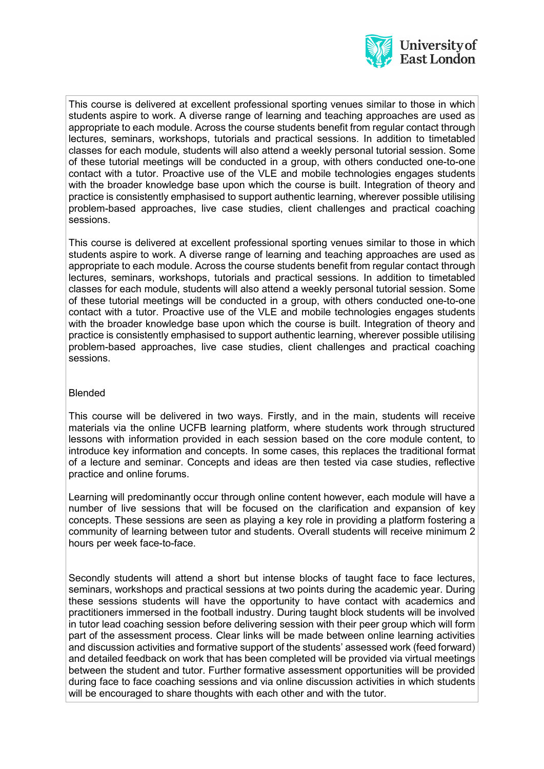

This course is delivered at excellent professional sporting venues similar to those in which students aspire to work. A diverse range of learning and teaching approaches are used as appropriate to each module. Across the course students benefit from regular contact through lectures, seminars, workshops, tutorials and practical sessions. In addition to timetabled classes for each module, students will also attend a weekly personal tutorial session. Some of these tutorial meetings will be conducted in a group, with others conducted one-to-one contact with a tutor. Proactive use of the VLE and mobile technologies engages students with the broader knowledge base upon which the course is built. Integration of theory and practice is consistently emphasised to support authentic learning, wherever possible utilising problem-based approaches, live case studies, client challenges and practical coaching sessions.

This course is delivered at excellent professional sporting venues similar to those in which students aspire to work. A diverse range of learning and teaching approaches are used as appropriate to each module. Across the course students benefit from regular contact through lectures, seminars, workshops, tutorials and practical sessions. In addition to timetabled classes for each module, students will also attend a weekly personal tutorial session. Some of these tutorial meetings will be conducted in a group, with others conducted one-to-one contact with a tutor. Proactive use of the VLE and mobile technologies engages students with the broader knowledge base upon which the course is built. Integration of theory and practice is consistently emphasised to support authentic learning, wherever possible utilising problem-based approaches, live case studies, client challenges and practical coaching sessions.

# Blended

This course will be delivered in two ways. Firstly, and in the main, students will receive materials via the online UCFB learning platform, where students work through structured lessons with information provided in each session based on the core module content, to introduce key information and concepts. In some cases, this replaces the traditional format of a lecture and seminar. Concepts and ideas are then tested via case studies, reflective practice and online forums.

Learning will predominantly occur through online content however, each module will have a number of live sessions that will be focused on the clarification and expansion of key concepts. These sessions are seen as playing a key role in providing a platform fostering a community of learning between tutor and students. Overall students will receive minimum 2 hours per week face-to-face.

Secondly students will attend a short but intense blocks of taught face to face lectures, seminars, workshops and practical sessions at two points during the academic year. During these sessions students will have the opportunity to have contact with academics and practitioners immersed in the football industry. During taught block students will be involved in tutor lead coaching session before delivering session with their peer group which will form part of the assessment process. Clear links will be made between online learning activities and discussion activities and formative support of the students' assessed work (feed forward) and detailed feedback on work that has been completed will be provided via virtual meetings between the student and tutor. Further formative assessment opportunities will be provided during face to face coaching sessions and via online discussion activities in which students will be encouraged to share thoughts with each other and with the tutor.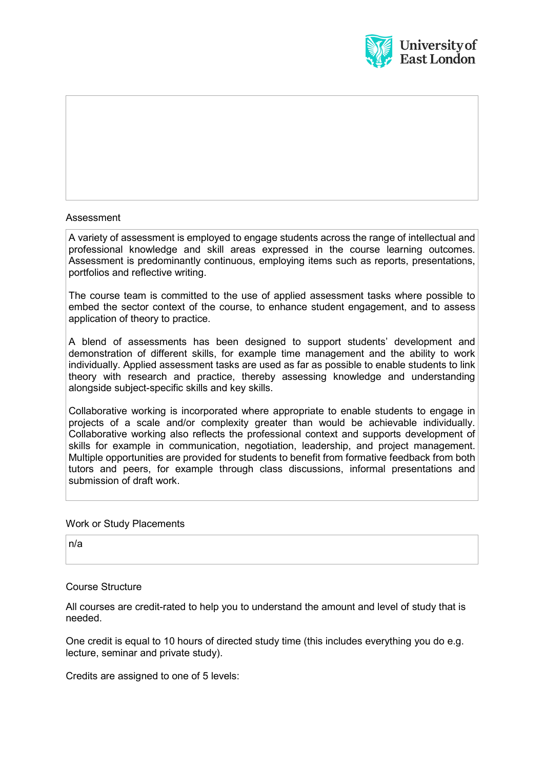

# Assessment

A variety of assessment is employed to engage students across the range of intellectual and professional knowledge and skill areas expressed in the course learning outcomes. Assessment is predominantly continuous, employing items such as reports, presentations, portfolios and reflective writing.

The course team is committed to the use of applied assessment tasks where possible to embed the sector context of the course, to enhance student engagement, and to assess application of theory to practice.

A blend of assessments has been designed to support students' development and demonstration of different skills, for example time management and the ability to work individually. Applied assessment tasks are used as far as possible to enable students to link theory with research and practice, thereby assessing knowledge and understanding alongside subject-specific skills and key skills.

Collaborative working is incorporated where appropriate to enable students to engage in projects of a scale and/or complexity greater than would be achievable individually. Collaborative working also reflects the professional context and supports development of skills for example in communication, negotiation, leadership, and project management. Multiple opportunities are provided for students to benefit from formative feedback from both tutors and peers, for example through class discussions, informal presentations and submission of draft work.

#### Work or Study Placements

n/a

#### Course Structure

All courses are credit-rated to help you to understand the amount and level of study that is needed.

One credit is equal to 10 hours of directed study time (this includes everything you do e.g. lecture, seminar and private study).

Credits are assigned to one of 5 levels: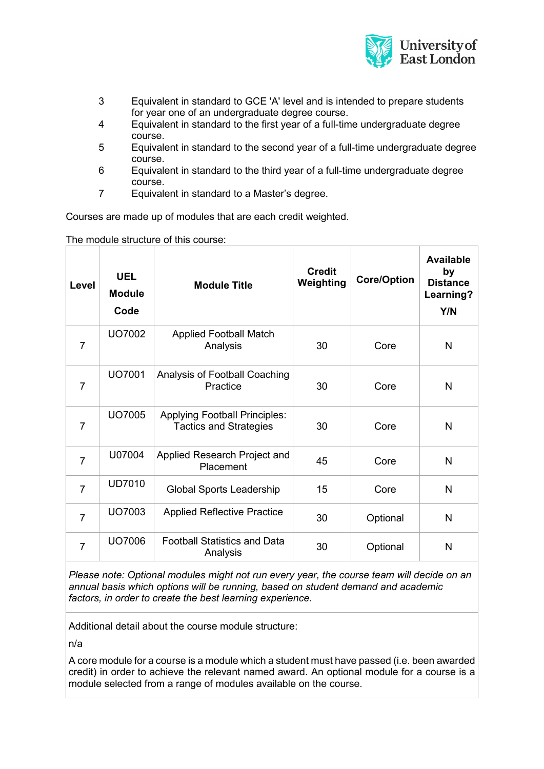

- 3 Equivalent in standard to GCE 'A' level and is intended to prepare students for year one of an undergraduate degree course.
- 4 Equivalent in standard to the first year of a full-time undergraduate degree course.
- 5 Equivalent in standard to the second year of a full-time undergraduate degree course.
- 6 Equivalent in standard to the third year of a full-time undergraduate degree course.
- 7 Equivalent in standard to a Master's degree.

Courses are made up of modules that are each credit weighted.

The module structure of this course:

| Level          | <b>UEL</b><br><b>Module</b><br>Code | <b>Module Title</b>                                                   | <b>Credit</b><br>Weighting | <b>Core/Option</b> | <b>Available</b><br>by<br><b>Distance</b><br>Learning?<br>Y/N |
|----------------|-------------------------------------|-----------------------------------------------------------------------|----------------------------|--------------------|---------------------------------------------------------------|
| 7              | UO7002                              | <b>Applied Football Match</b><br>Analysis                             | 30                         | Core               | N                                                             |
| $\overline{7}$ | UO7001                              | Analysis of Football Coaching<br>Practice                             | 30                         | Core               | $\mathsf{N}$                                                  |
| $\overline{7}$ | UO7005                              | <b>Applying Football Principles:</b><br><b>Tactics and Strategies</b> | 30                         | Core               | N                                                             |
| $\overline{7}$ | U07004                              | Applied Research Project and<br>Placement                             | 45                         | Core               | $\overline{\mathsf{N}}$                                       |
| $\overline{7}$ | <b>UD7010</b>                       | <b>Global Sports Leadership</b>                                       | 15                         | Core               | $\mathsf{N}$                                                  |
| $\overline{7}$ | UO7003                              | <b>Applied Reflective Practice</b>                                    | 30                         | Optional           | N                                                             |
| $\overline{7}$ | <b>UO7006</b>                       | <b>Football Statistics and Data</b><br>Analysis                       | 30                         | Optional           | N                                                             |

*Please note: Optional modules might not run every year, the course team will decide on an annual basis which options will be running, based on student demand and academic factors, in order to create the best learning experience.*

Additional detail about the course module structure:

n/a

A core module for a course is a module which a student must have passed (i.e. been awarded credit) in order to achieve the relevant named award. An optional module for a course is a module selected from a range of modules available on the course.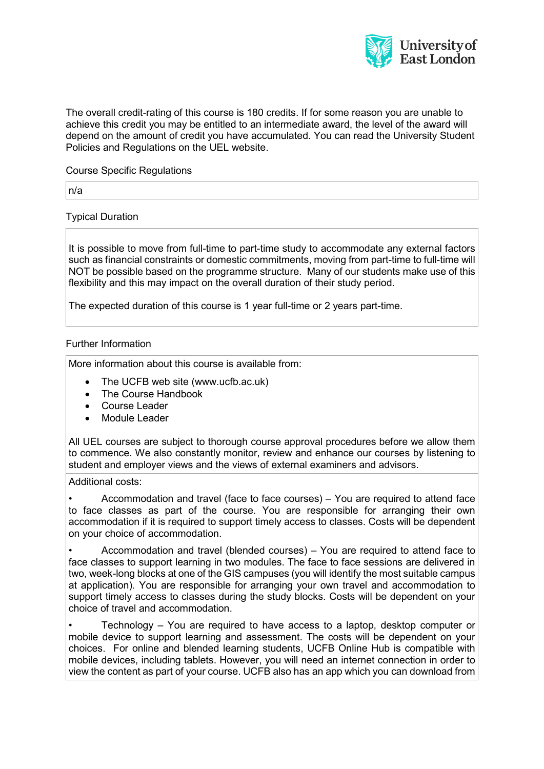

The overall credit-rating of this course is 180 credits. If for some reason you are unable to achieve this credit you may be entitled to an intermediate award, the level of the award will depend on the amount of credit you have accumulated. You can read the University Student Policies and Regulations on the UEL website.

### Course Specific Regulations

n/a

Typical Duration

It is possible to move from full-time to part-time study to accommodate any external factors such as financial constraints or domestic commitments, moving from part-time to full-time will NOT be possible based on the programme structure. Many of our students make use of this flexibility and this may impact on the overall duration of their study period.

The expected duration of this course is 1 year full-time or 2 years part-time.

### Further Information

More information about this course is available from:

- The UCFB web site (www.ucfb.ac.uk)
- The Course Handbook
- Course Leader
- Module Leader

All UEL courses are subject to thorough course approval procedures before we allow them to commence. We also constantly monitor, review and enhance our courses by listening to student and employer views and the views of external examiners and advisors.

Additional costs:

• Accommodation and travel (face to face courses) – You are required to attend face to face classes as part of the course. You are responsible for arranging their own accommodation if it is required to support timely access to classes. Costs will be dependent on your choice of accommodation.

• Accommodation and travel (blended courses) – You are required to attend face to face classes to support learning in two modules. The face to face sessions are delivered in two, week-long blocks at one of the GIS campuses (you will identify the most suitable campus at application). You are responsible for arranging your own travel and accommodation to support timely access to classes during the study blocks. Costs will be dependent on your choice of travel and accommodation.

• Technology – You are required to have access to a laptop, desktop computer or mobile device to support learning and assessment. The costs will be dependent on your choices. For online and blended learning students, UCFB Online Hub is compatible with mobile devices, including tablets. However, you will need an internet connection in order to view the content as part of your course. UCFB also has an app which you can download from